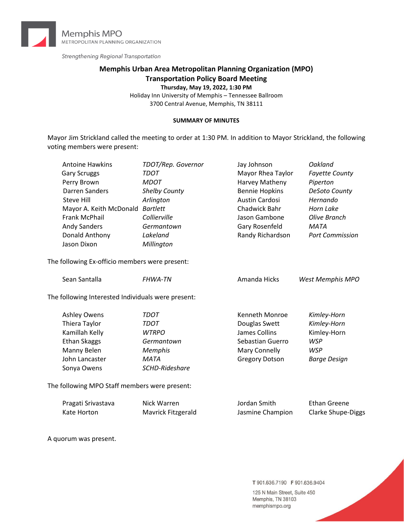

Strengthening Regional Transportation

# **Memphis Urban Area Metropolitan Planning Organization (MPO) Transportation Policy Board Meeting**

**Thursday, May 19, 2022, 1:30 PM**

Holiday Inn University of Memphis – Tennessee Ballroom 3700 Central Avenue, Memphis, TN 38111

#### **SUMMARY OF MINUTES**

Mayor Jim Strickland called the meeting to order at 1:30 PM. In addition to Mayor Strickland, the following voting members were present:

| <b>Antoine Hawkins</b>  | TDOT/Rep. Governor   | Jay Johnson           | Oakland                |
|-------------------------|----------------------|-----------------------|------------------------|
| <b>Gary Scruggs</b>     | TDOT                 | Mayor Rhea Taylor     | <b>Fayette County</b>  |
| Perry Brown             | <b>MDOT</b>          | Harvey Matheny        | Piperton               |
| Darren Sanders          | <b>Shelby County</b> | <b>Bennie Hopkins</b> | DeSoto County          |
| Steve Hill              | Arlington            | Austin Cardosi        | Hernando               |
| Mayor A. Keith McDonald | <b>Bartlett</b>      | Chadwick Bahr         | Horn Lake              |
| Frank McPhail           | Collierville         | Jason Gambone         | Olive Branch           |
| <b>Andy Sanders</b>     | Germantown           | Gary Rosenfeld        | <b>MATA</b>            |
| Donald Anthony          | Lakeland             | Randy Richardson      | <b>Port Commission</b> |
| Jason Dixon             | Millington           |                       |                        |
|                         |                      |                       |                        |

The following Ex-officio members were present:

| Sean Santalla                                      | <b>FHWA-TN</b> | Amanda Hicks          | West Memphis MPO |
|----------------------------------------------------|----------------|-----------------------|------------------|
| The following Interested Individuals were present: |                |                       |                  |
| <b>Ashley Owens</b>                                | TDOT           | Kenneth Monroe        | Kimley-Horn      |
| Thiera Taylor                                      | TDOT           | Douglas Swett         | Kimley-Horn      |
| Kamillah Kelly                                     | <b>WTRPO</b>   | James Collins         | Kimley-Horn      |
| <b>Ethan Skaggs</b>                                | Germantown     | Sebastian Guerro      | <b>WSP</b>       |
| Manny Belen                                        | <b>Memphis</b> | Mary Connelly         | <b>WSP</b>       |
| John Lancaster                                     | <b>MATA</b>    | <b>Gregory Dotson</b> | Barge Design     |
| Sonya Owens                                        | SCHD-Rideshare |                       |                  |
|                                                    |                |                       |                  |

The following MPO Staff members were present:

| Pragati Srivastava | Nick Warren        | Jordan Smith     | Ethan Greene              |
|--------------------|--------------------|------------------|---------------------------|
| Kate Horton        | Mavrick Fitzgerald | Jasmine Champion | <b>Clarke Shupe-Diggs</b> |

A quorum was present.

T 901.636.7190 F 901.636.9404

125 N Main Street, Suite 450 Memphis, TN 38103 memphismpo.org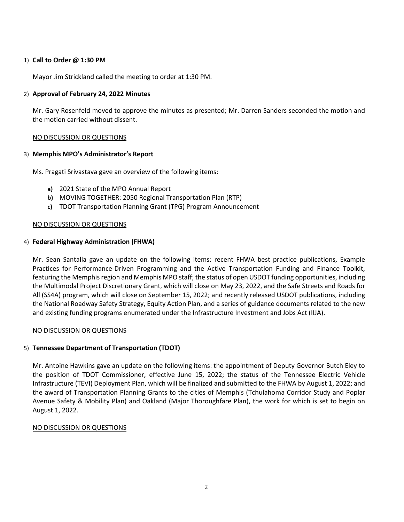### 1) **Call to Order @ 1:30 PM**

Mayor Jim Strickland called the meeting to order at 1:30 PM.

## 2) **Approval of February 24, 2022 Minutes**

Mr. Gary Rosenfeld moved to approve the minutes as presented; Mr. Darren Sanders seconded the motion and the motion carried without dissent.

## NO DISCUSSION OR QUESTIONS

## 3) **Memphis MPO's Administrator's Report**

Ms. Pragati Srivastava gave an overview of the following items:

- **a)** 2021 State of the MPO Annual Report
- **b)** MOVING TOGETHER: 2050 Regional Transportation Plan (RTP)
- **c)** TDOT Transportation Planning Grant (TPG) Program Announcement

### NO DISCUSSION OR QUESTIONS

## 4) **Federal Highway Administration (FHWA)**

Mr. Sean Santalla gave an update on the following items: recent FHWA best practice publications, Example Practices for Performance-Driven Programming and the Active Transportation Funding and Finance Toolkit, featuring the Memphis region and Memphis MPO staff; the status of open USDOT funding opportunities, including the Multimodal Project Discretionary Grant, which will close on May 23, 2022, and the Safe Streets and Roads for All (SS4A) program, which will close on September 15, 2022; and recently released USDOT publications, including the National Roadway Safety Strategy, Equity Action Plan, and a series of guidance documents related to the new and existing funding programs enumerated under the Infrastructure Investment and Jobs Act (IIJA).

### NO DISCUSSION OR QUESTIONS

# 5) **Tennessee Department of Transportation (TDOT)**

Mr. Antoine Hawkins gave an update on the following items: the appointment of Deputy Governor Butch Eley to the position of TDOT Commissioner, effective June 15, 2022; the status of the Tennessee Electric Vehicle Infrastructure (TEVI) Deployment Plan, which will be finalized and submitted to the FHWA by August 1, 2022; and the award of Transportation Planning Grants to the cities of Memphis (Tchulahoma Corridor Study and Poplar Avenue Safety & Mobility Plan) and Oakland (Major Thoroughfare Plan), the work for which is set to begin on August 1, 2022.

### NO DISCUSSION OR QUESTIONS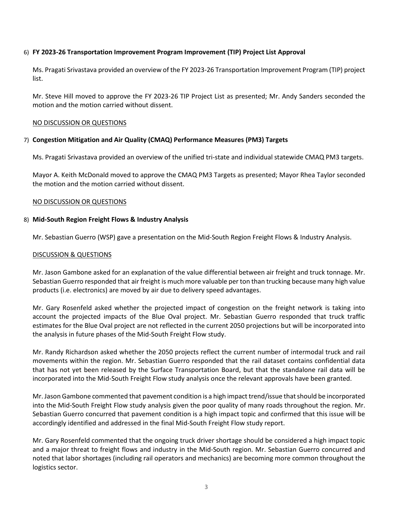### 6) **FY 2023‐26 Transportation Improvement Program Improvement (TIP) Project List Approval**

Ms. Pragati Srivastava provided an overview of the FY 2023-26 Transportation Improvement Program (TIP) project list.

Mr. Steve Hill moved to approve the FY 2023-26 TIP Project List as presented; Mr. Andy Sanders seconded the motion and the motion carried without dissent.

### NO DISCUSSION OR QUESTIONS

## 7) **Congestion Mitigation and Air Quality (CMAQ) Performance Measures (PM3) Targets**

Ms. Pragati Srivastava provided an overview of the unified tri-state and individual statewide CMAQ PM3 targets.

Mayor A. Keith McDonald moved to approve the CMAQ PM3 Targets as presented; Mayor Rhea Taylor seconded the motion and the motion carried without dissent.

### NO DISCUSSION OR QUESTIONS

### 8) **Mid-South Region Freight Flows & Industry Analysis**

Mr. Sebastian Guerro (WSP) gave a presentation on the Mid-South Region Freight Flows & Industry Analysis.

### DISCUSSION & QUESTIONS

Mr. Jason Gambone asked for an explanation of the value differential between air freight and truck tonnage. Mr. Sebastian Guerro responded that air freight is much more valuable per ton than trucking because many high value products (i.e. electronics) are moved by air due to delivery speed advantages.

Mr. Gary Rosenfeld asked whether the projected impact of congestion on the freight network is taking into account the projected impacts of the Blue Oval project. Mr. Sebastian Guerro responded that truck traffic estimates for the Blue Oval project are not reflected in the current 2050 projections but will be incorporated into the analysis in future phases of the Mid-South Freight Flow study.

Mr. Randy Richardson asked whether the 2050 projects reflect the current number of intermodal truck and rail movements within the region. Mr. Sebastian Guerro responded that the rail dataset contains confidential data that has not yet been released by the Surface Transportation Board, but that the standalone rail data will be incorporated into the Mid-South Freight Flow study analysis once the relevant approvals have been granted.

Mr. Jason Gambone commented that pavement condition is a high impact trend/issue that should be incorporated into the Mid-South Freight Flow study analysis given the poor quality of many roads throughout the region. Mr. Sebastian Guerro concurred that pavement condition is a high impact topic and confirmed that this issue will be accordingly identified and addressed in the final Mid-South Freight Flow study report.

Mr. Gary Rosenfeld commented that the ongoing truck driver shortage should be considered a high impact topic and a major threat to freight flows and industry in the Mid-South region. Mr. Sebastian Guerro concurred and noted that labor shortages (including rail operators and mechanics) are becoming more common throughout the logistics sector.